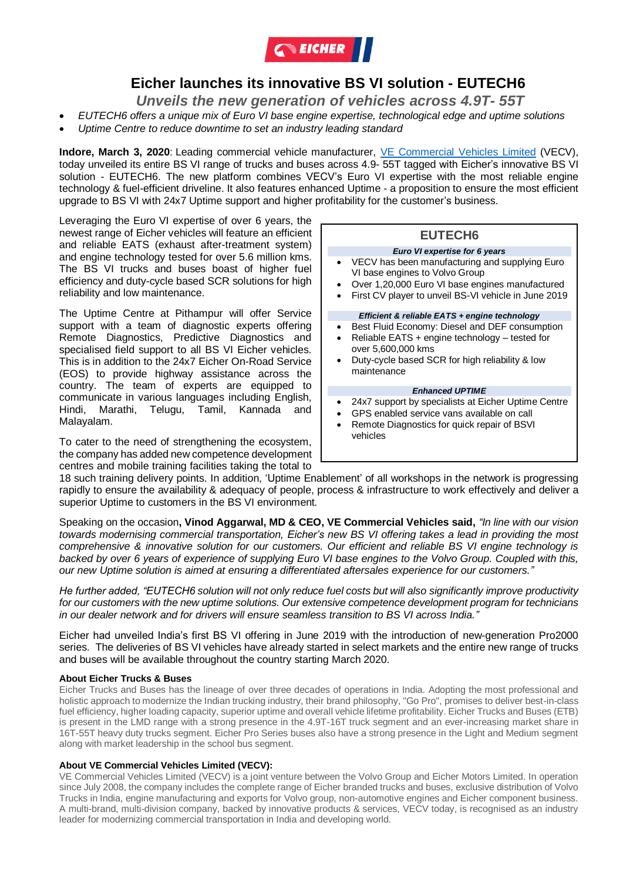

# **Eicher launches its innovative BS VI solution - EUTECH6**

*Unveils the new generation of vehicles across 4.9T- 55T*

- *EUTECH6 offers a unique mix of Euro VI base engine expertise, technological edge and uptime solutions*
- *Uptime Centre to reduce downtime to set an industry leading standard*

**Indore, March 3, 2020**: Leading commercial vehicle manufacturer, [VE Commercial Vehicles](http://www.vecv.in/) Limited (VECV), today unveiled its entire BS VI range of trucks and buses across 4.9- 55T tagged with Eicher's innovative BS VI solution - EUTECH6. The new platform combines VECV's Euro VI expertise with the most reliable engine technology & fuel-efficient driveline. It also features enhanced Uptime - a proposition to ensure the most efficient upgrade to BS VI with 24x7 Uptime support and higher profitability for the customer's business.

Leveraging the Euro VI expertise of over 6 years, the newest range of Eicher vehicles will feature an efficient and reliable EATS (exhaust after-treatment system) and engine technology tested for over 5.6 million kms. The BS VI trucks and buses boast of higher fuel efficiency and duty-cycle based SCR solutions for high reliability and low maintenance.

The Uptime Centre at Pithampur will offer Service support with a team of diagnostic experts offering Remote Diagnostics, Predictive Diagnostics and specialised field support to all BS VI Eicher vehicles. This is in addition to the 24x7 Eicher On-Road Service (EOS) to provide highway assistance across the country. The team of experts are equipped to communicate in various languages including English, Hindi, Marathi, Telugu, Tamil, Kannada and Malayalam.

To cater to the need of strengthening the ecosystem, the company has added new competence development centres and mobile training facilities taking the total to

## **EUTECH6**

#### *Euro VI expertise for 6 years*

- VECV has been manufacturing and supplying Euro VI base engines to Volvo Group
- Over 1,20,000 Euro VI base engines manufactured
- First CV player to unveil BS-VI vehicle in June 2019

#### *Efficient & reliable EATS + engine technology*

- Best Fluid Economy: Diesel and DEF consumption Reliable EATS + engine technology – tested for
- over 5,600,000 kms
- Duty-cycle based SCR for high reliability & low maintenance

#### *Enhanced UPTIME*

- 24x7 support by specialists at Eicher Uptime Centre
- GPS enabled service vans available on call
- Remote Diagnostics for quick repair of BSVI vehicles

18 such training delivery points. In addition, 'Uptime Enablement' of all workshops in the network is progressing rapidly to ensure the availability & adequacy of people, process & infrastructure to work effectively and deliver a superior Uptime to customers in the BS VI environment.

Speaking on the occasion**, Vinod Aggarwal, MD & CEO, VE Commercial Vehicles said,** *"In line with our vision towards modernising commercial transportation, Eicher's new BS VI offering takes a lead in providing the most comprehensive & innovative solution for our customers. Our efficient and reliable BS VI engine technology is backed by over 6 years of experience of supplying Euro VI base engines to the Volvo Group. Coupled with this, our new Uptime solution is aimed at ensuring a differentiated aftersales experience for our customers."*

*He further added, "EUTECH6 solution will not only reduce fuel costs but will also significantly improve productivity for our customers with the new uptime solutions. Our extensive competence development program for technicians in our dealer network and for drivers will ensure seamless transition to BS VI across India."*

Eicher had unveiled India's first BS VI offering in June 2019 with the introduction of new-generation Pro2000 series. The deliveries of BS VI vehicles have already started in select markets and the entire new range of trucks and buses will be available throughout the country starting March 2020.

## **About Eicher Trucks & Buses**

Eicher Trucks and Buses has the lineage of over three decades of operations in India. Adopting the most professional and holistic approach to modernize the Indian trucking industry, their brand philosophy, "Go Pro", promises to deliver best-in-class fuel efficiency, higher loading capacity, superior uptime and overall vehicle lifetime profitability. Eicher Trucks and Buses (ETB) is present in the LMD range with a strong presence in the 4.9T-16T truck segment and an ever-increasing market share in 16T-55T heavy duty trucks segment. Eicher Pro Series buses also have a strong presence in the Light and Medium segment along with market leadership in the school bus segment.

## **About VE Commercial Vehicles Limited (VECV):**

VE Commercial Vehicles Limited (VECV) is a joint venture between the Volvo Group and Eicher Motors Limited. In operation since July 2008, the company includes the complete range of Eicher branded trucks and buses, exclusive distribution of Volvo Trucks in India, engine manufacturing and exports for Volvo group, non-automotive engines and Eicher component business. A multi-brand, multi-division company, backed by innovative products & services, VECV today, is recognised as an industry leader for modernizing commercial transportation in India and developing world.